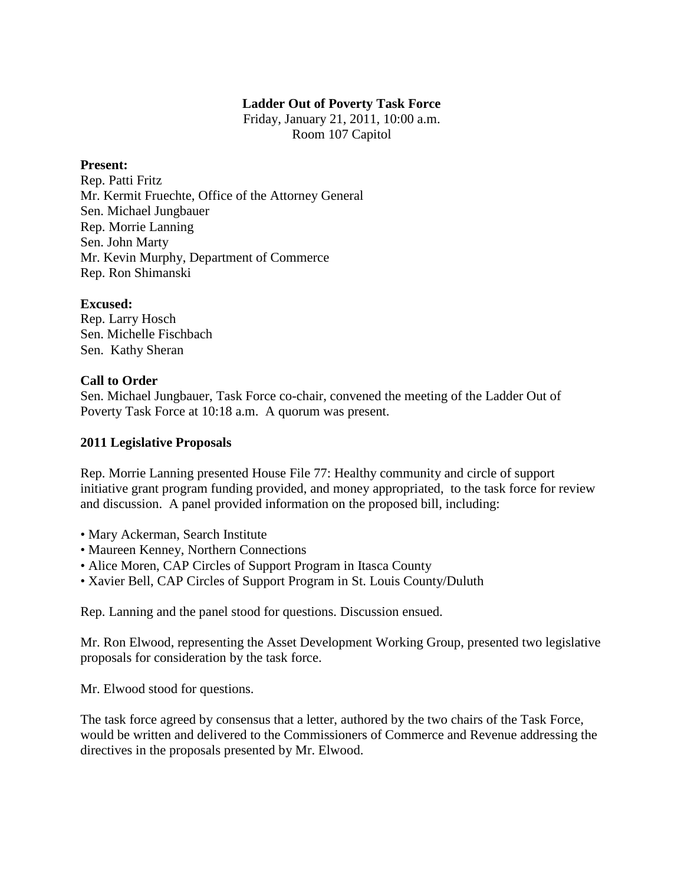### **Ladder Out of Poverty Task Force**

Friday, January 21, 2011, 10:00 a.m. Room 107 Capitol

#### **Present:**

Rep. Patti Fritz Mr. Kermit Fruechte, Office of the Attorney General Sen. Michael Jungbauer Rep. Morrie Lanning Sen. John Marty Mr. Kevin Murphy, Department of Commerce Rep. Ron Shimanski

### **Excused:**

Rep. Larry Hosch Sen. Michelle Fischbach Sen. Kathy Sheran

## **Call to Order**

Sen. Michael Jungbauer, Task Force co-chair, convened the meeting of the Ladder Out of Poverty Task Force at 10:18 a.m. A quorum was present.

### **2011 Legislative Proposals**

Rep. Morrie Lanning presented House File 77: Healthy community and circle of support initiative grant program funding provided, and money appropriated, to the task force for review and discussion. A panel provided information on the proposed bill, including:

- Mary Ackerman, Search Institute
- Maureen Kenney, Northern Connections
- Alice Moren, CAP Circles of Support Program in Itasca County
- Xavier Bell, CAP Circles of Support Program in St. Louis County/Duluth

Rep. Lanning and the panel stood for questions. Discussion ensued.

Mr. Ron Elwood, representing the Asset Development Working Group, presented two legislative proposals for consideration by the task force.

Mr. Elwood stood for questions.

The task force agreed by consensus that a letter, authored by the two chairs of the Task Force, would be written and delivered to the Commissioners of Commerce and Revenue addressing the directives in the proposals presented by Mr. Elwood.